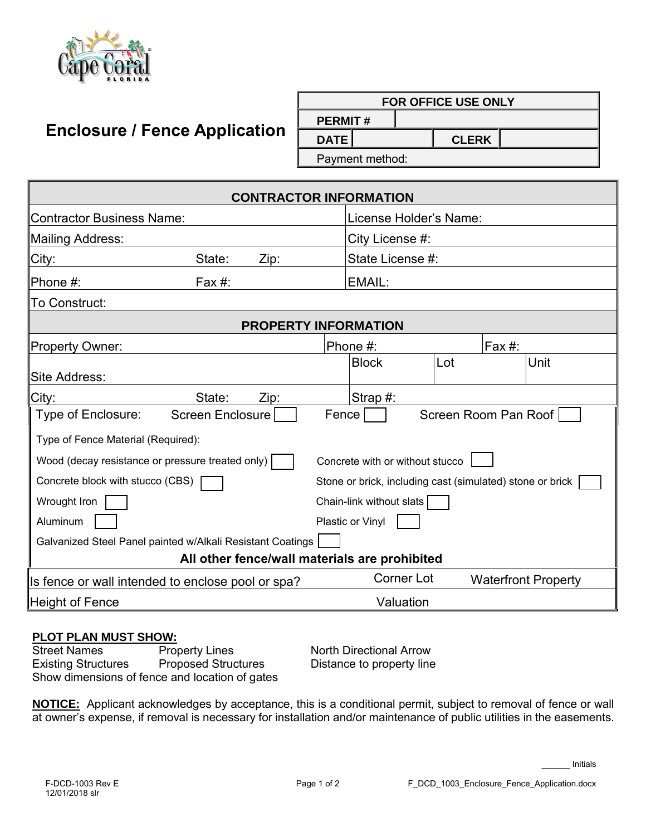

ľ

## **Enclosure / Fence Application**

|                                 | <b>FOR OFFICE USE ONLY</b> |  |  |  |  |  |  |  |
|---------------------------------|----------------------------|--|--|--|--|--|--|--|
| <b>PERMIT#</b>                  |                            |  |  |  |  |  |  |  |
| $\mathsf{DATE}$<br><b>CLERK</b> |                            |  |  |  |  |  |  |  |

Payment method:

| <b>CONTRACTOR INFORMATION</b>                                                       |                         |      |                          |                        |                                                           |  |  |
|-------------------------------------------------------------------------------------|-------------------------|------|--------------------------|------------------------|-----------------------------------------------------------|--|--|
| <b>Contractor Business Name:</b>                                                    |                         |      |                          | License Holder's Name: |                                                           |  |  |
| <b>Mailing Address:</b>                                                             |                         |      | City License #:          |                        |                                                           |  |  |
| City:                                                                               | State:                  | Zip: | State License #:         |                        |                                                           |  |  |
| Phone #:                                                                            | Fax $#$ :               |      | EMAIL:                   |                        |                                                           |  |  |
| To Construct:                                                                       |                         |      |                          |                        |                                                           |  |  |
| <b>PROPERTY INFORMATION</b>                                                         |                         |      |                          |                        |                                                           |  |  |
| <b>Property Owner:</b>                                                              |                         |      | Phone #:                 |                        | Fax $#$ :                                                 |  |  |
|                                                                                     |                         |      | <b>Block</b>             | Lot                    | Unit                                                      |  |  |
| Site Address:                                                                       |                         |      |                          |                        |                                                           |  |  |
| City:                                                                               | State:                  | Zip: | Strap $#$ :              |                        |                                                           |  |  |
| Type of Enclosure:                                                                  | <b>Screen Enclosure</b> |      | <b>Fence</b>             |                        | Screen Room Pan Roof                                      |  |  |
| Type of Fence Material (Required):                                                  |                         |      |                          |                        |                                                           |  |  |
| Wood (decay resistance or pressure treated only)<br>Concrete with or without stucco |                         |      |                          |                        |                                                           |  |  |
| Concrete block with stucco (CBS)                                                    |                         |      |                          |                        | Stone or brick, including cast (simulated) stone or brick |  |  |
| Wrought Iron                                                                        |                         |      | Chain-link without slats |                        |                                                           |  |  |
| Aluminum                                                                            |                         |      | Plastic or Vinyl         |                        |                                                           |  |  |
| Galvanized Steel Panel painted w/Alkali Resistant Coatings                          |                         |      |                          |                        |                                                           |  |  |
| All other fence/wall materials are prohibited                                       |                         |      |                          |                        |                                                           |  |  |
| Is fence or wall intended to enclose pool or spa?                                   |                         |      | <b>Corner Lot</b>        |                        | <b>Waterfront Property</b>                                |  |  |
| <b>Height of Fence</b>                                                              |                         |      | Valuation                |                        |                                                           |  |  |

## **PLOT PLAN MUST SHOW:**

**Street Names Existing Structures**  Show dimensions of fence and location of gates **Property Lines** North Directional Arrow

Proposed Structures Distance to property line

 **NOTICE:** Applicant acknowledges by acceptance, this is a conditional permit, subject to removal of fence or wall at owner's expense, if removal is necessary for installation and/or maintenance of public utilities in the easements.

\_\_\_\_\_\_ Initials